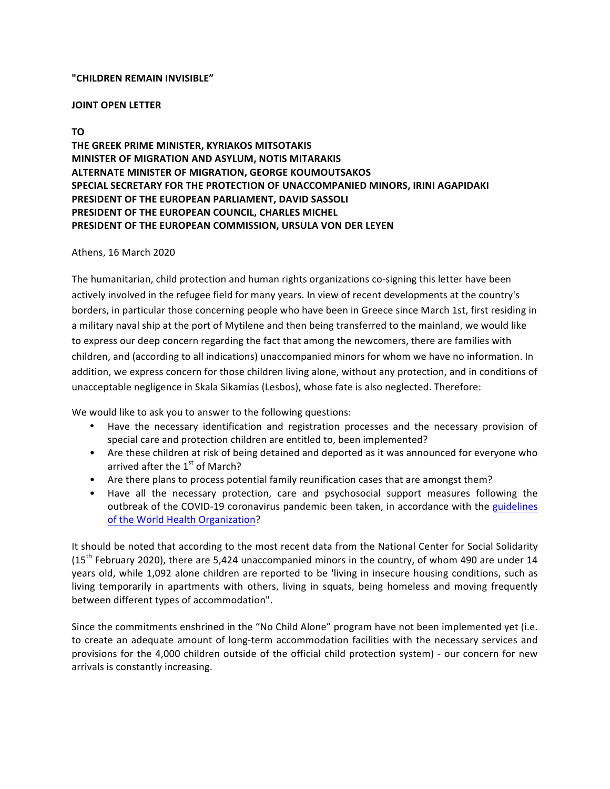## **"CHILDREN REMAIN INVISIBLE"**

#### **JOINT OPEN LETTER**

# **TO**

**THE GREEK PRIME MINISTER, KYRIAKOS MITSOTAKIS MINISTER OF MIGRATION AND ASYLUM, NOTIS MITARAKIS ALTERNATE MINISTER OF MIGRATION, GEORGE KOUMOUTSAKOS SPECIAL SECRETARY FOR THE PROTECTION OF UNACCOMPANIED MINORS, IRINI AGAPIDAKI PRESIDENT OF THE EUROPEAN PARLIAMENT, DAVID SASSOLI PRESIDENT OF THE EUROPEAN COUNCIL, CHARLES MICHEL** PRESIDENT OF THE EUROPEAN COMMISSION, URSULA VON DER LEYEN

## Athens, 16 March 2020

The humanitarian, child protection and human rights organizations co-signing this letter have been actively involved in the refugee field for many years. In view of recent developments at the country's borders, in particular those concerning people who have been in Greece since March 1st, first residing in a military naval ship at the port of Mytilene and then being transferred to the mainland, we would like to express our deep concern regarding the fact that among the newcomers, there are families with children, and (according to all indications) unaccompanied minors for whom we have no information. In addition, we express concern for those children living alone, without any protection, and in conditions of unacceptable negligence in Skala Sikamias (Lesbos), whose fate is also neglected. Therefore:

We would like to ask you to answer to the following questions:

- Have the necessary identification and registration processes and the necessary provision of special care and protection children are entitled to, been implemented?
- Are these children at risk of being detained and deported as it was announced for everyone who arrived after the  $1<sup>st</sup>$  of March?
- Are there plans to process potential family reunification cases that are amongst them?
- Have all the necessary protection, care and psychosocial support measures following the outbreak of the COVID-19 coronavirus pandemic been taken, in accordance with the guidelines of the World Health Organization?

It should be noted that according to the most recent data from the National Center for Social Solidarity  $(15<sup>th</sup>$  February 2020), there are 5,424 unaccompanied minors in the country, of whom 490 are under 14 years old, while 1,092 alone children are reported to be 'living in insecure housing conditions, such as living temporarily in apartments with others, living in squats, being homeless and moving frequently between different types of accommodation".

Since the commitments enshrined in the "No Child Alone" program have not been implemented yet (i.e. to create an adequate amount of long-term accommodation facilities with the necessary services and provisions for the 4,000 children outside of the official child protection system) - our concern for new arrivals is constantly increasing.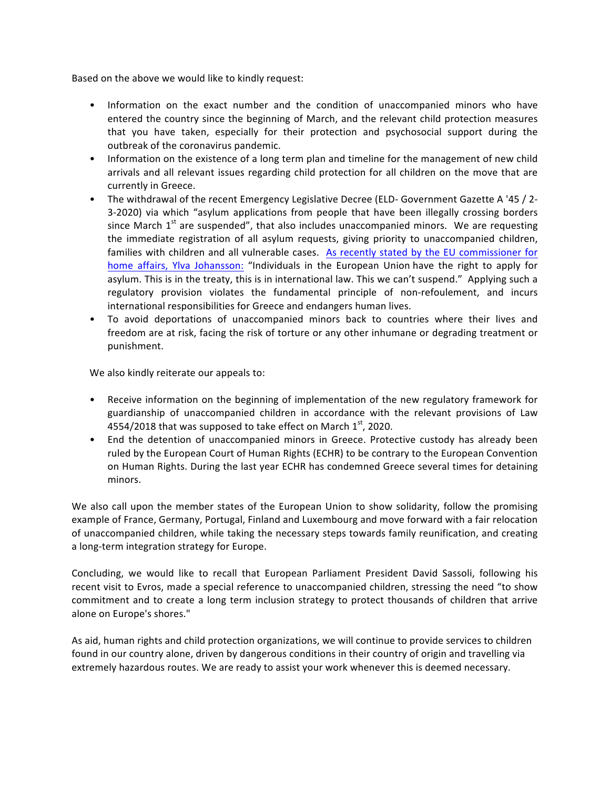Based on the above we would like to kindly request:

- Information on the exact number and the condition of unaccompanied minors who have entered the country since the beginning of March, and the relevant child protection measures that you have taken, especially for their protection and psychosocial support during the outbreak of the coronavirus pandemic.
- Information on the existence of a long term plan and timeline for the management of new child arrivals and all relevant issues regarding child protection for all children on the move that are currently in Greece.
- The withdrawal of the recent Emergency Legislative Decree (ELD- Government Gazette A '45 / 2-3-2020) via which "asylum applications from people that have been illegally crossing borders since March  $1<sup>st</sup>$  are suspended", that also includes unaccompanied minors. We are requesting the immediate registration of all asylum requests, giving priority to unaccompanied children, families with children and all vulnerable cases. As recently stated by the EU commissioner for home affairs, Ylva Johansson: "Individuals in the European Union have the right to apply for asylum. This is in the treaty, this is in international law. This we can't suspend." Applying such a regulatory provision violates the fundamental principle of non-refoulement, and incurs international responsibilities for Greece and endangers human lives.
- To avoid deportations of unaccompanied minors back to countries where their lives and freedom are at risk, facing the risk of torture or any other inhumane or degrading treatment or punishment.

We also kindly reiterate our appeals to:

- Receive information on the beginning of implementation of the new regulatory framework for guardianship of unaccompanied children in accordance with the relevant provisions of Law 4554/2018 that was supposed to take effect on March  $1<sup>st</sup>$ , 2020.
- End the detention of unaccompanied minors in Greece. Protective custody has already been ruled by the European Court of Human Rights (ECHR) to be contrary to the European Convention on Human Rights. During the last year ECHR has condemned Greece several times for detaining minors.

We also call upon the member states of the European Union to show solidarity, follow the promising example of France, Germany, Portugal, Finland and Luxembourg and move forward with a fair relocation of unaccompanied children, while taking the necessary steps towards family reunification, and creating a long-term integration strategy for Europe.

Concluding, we would like to recall that European Parliament President David Sassoli, following his recent visit to Evros, made a special reference to unaccompanied children, stressing the need "to show commitment and to create a long term inclusion strategy to protect thousands of children that arrive alone on Europe's shores."

As aid, human rights and child protection organizations, we will continue to provide services to children found in our country alone, driven by dangerous conditions in their country of origin and travelling via extremely hazardous routes. We are ready to assist your work whenever this is deemed necessary.